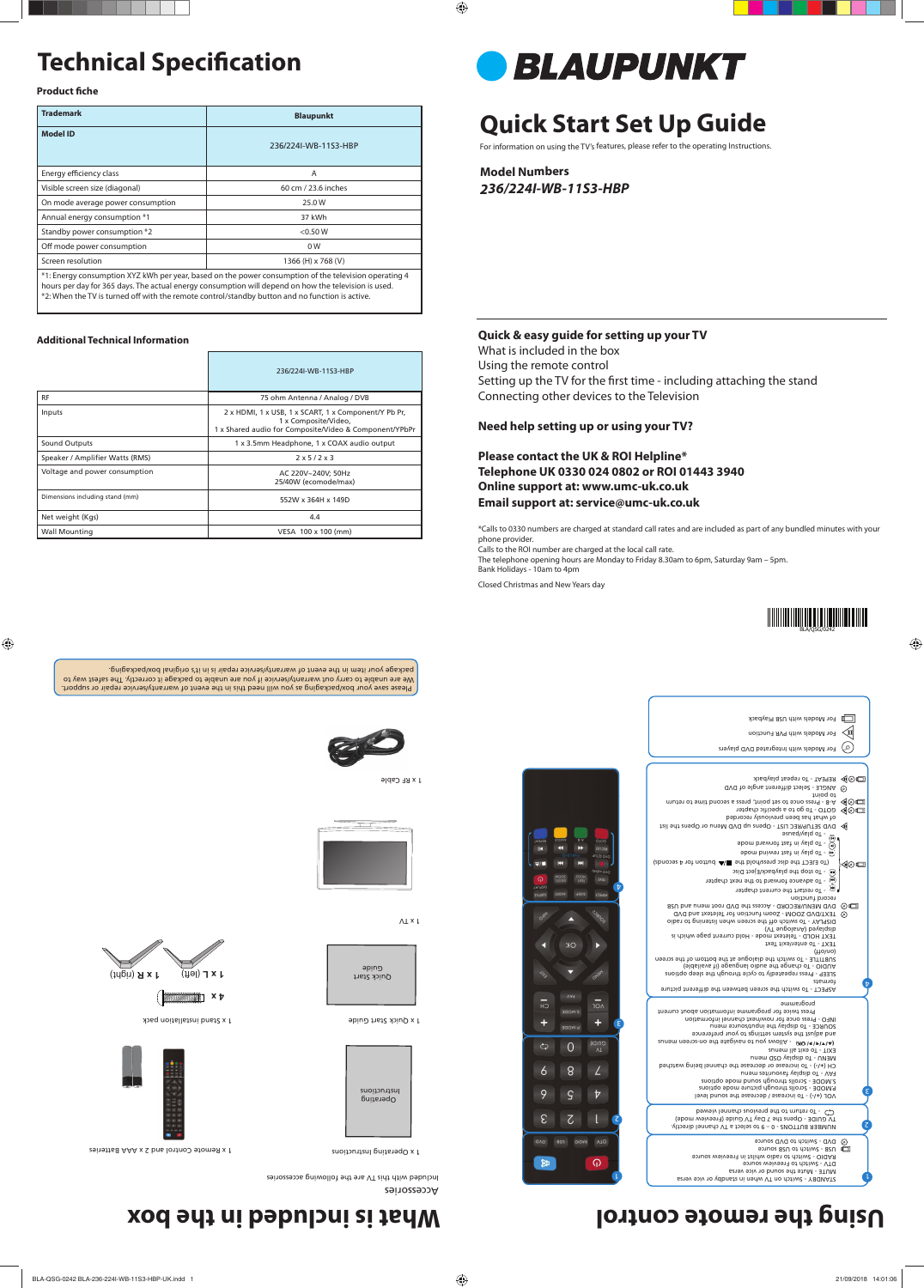# **Technical Specification**

**Product fiche** 

# **Quick Start Set Up Guide**

For information on using the TV's features, please refer to the operating Instructions.

**Model Numbers** *236/224I-WB-11S3-HBP*

|                                 | 236/224I-WB-11S3-HBP                                                                                                                   |  |
|---------------------------------|----------------------------------------------------------------------------------------------------------------------------------------|--|
| <b>RF</b>                       | 75 ohm Antenna / Analog / DVB                                                                                                          |  |
| Inputs                          | 2 x HDMI, 1 x USB, 1 x SCART, 1 x Component/Y Pb Pr,<br>1 x Composite/Video,<br>1 x Shared audio for Composite/Video & Component/YPbPr |  |
| Sound Outputs                   | 1 x 3.5mm Headphone, 1 x COAX audio output                                                                                             |  |
| Speaker / Amplifier Watts (RMS) | $2 \times 5/2 \times 3$                                                                                                                |  |
| Voltage and power consumption   | AC 220V~240V; 50Hz<br>25/40W (ecomode/max)                                                                                             |  |
| Dimensions including stand (mm) | 552W x 364H x 149D                                                                                                                     |  |
| Net weight (Kgs)                | 4.4                                                                                                                                    |  |
| Wall Mounting                   | VESA 100 x 100 (mm)                                                                                                                    |  |

| <b>Trademark</b>                                                                                      | <b>Blaupunkt</b>     |  |
|-------------------------------------------------------------------------------------------------------|----------------------|--|
| <b>Model ID</b>                                                                                       | 236/224I-WB-11S3-HBP |  |
| Energy efficiency class                                                                               | A                    |  |
| Visible screen size (diagonal)                                                                        | 60 cm / 23.6 inches  |  |
| On mode average power consumption                                                                     | 25.0 W               |  |
| Annual energy consumption *1                                                                          | 37 kWh               |  |
| Standby power consumption *2                                                                          | < 0.50 W             |  |
| Off mode power consumption                                                                            | 0 <sub>W</sub>       |  |
| Screen resolution                                                                                     | 1366 (H) x 768 (V)   |  |
| *1: Energy consumption XYZ kWh per year, based on the power consumption of the television operating 4 |                      |  |

Quick Start əpinə

hours per day for 365 days. The actual energy consumption will depend on how the television is used. \*2: When the TV is turned off with the remote control/standby button and no function is active.

Please save your box/packaging as you will need this in the event of warranty/service repair or support. We are unable to carry out warranty/service if you are unable to package it correctly. The safest way to package your item in the event of warranty/therisew to the end in meti up yepshaq.



#### **Additional Technical Information**



1 x Stand installation pack



(right) **1 x R** (left) **1 x L** 

STANDBY - Switch on TV when in standby or vice versa MUTE - Mute the sound or vice versa DVD - Switch to DVD source<br>RAD - Switch to radio whilst in Freeview source<br>RAD - Switch to radio whilst in Freeview source<br>RAD - Switch to DVD source

Accessories

Included with this TV are the following accessories



1 x Operating Instructions

1 x Remote Control and 2 x AAA Batteries



Operating

Instructions

1 x Quick Start Guide

1 x RF Cable



 $\Lambda\perp\times\mathsf{I}$ 



### **Quick & easy guide for setting up your TV**

What is included in the box Using the remote control Setting up the TV for the first time - including attaching the stand Connecting other devices to the Television

### **Need help setting up or using your TV?**

|                               | For Models with USB Playback                                                       |         |
|-------------------------------|------------------------------------------------------------------------------------|---------|
|                               | For Models with PVR Function                                                       | Φ       |
|                               | For Models with Integrated DVD players                                             |         |
|                               |                                                                                    |         |
|                               |                                                                                    |         |
|                               | REPEAT - To repeat playback                                                        | ◀◎□     |
|                               | ANGLE - Select different angle of DVD                                              | ⊙       |
|                               | to point                                                                           |         |
|                               | muther of each once to set point, press a second time to return                    |         |
|                               | GOTO - To go to a specific chapter<br>of what has been previously recorded         | ◀◎□     |
|                               | bvD SETUP/REC LIST - Opens up DVD Menu or Opens the list                           |         |
|                               | - To play/pause                                                                    |         |
| OIOS                          | (IR<br>bom biswiot tast ni valq oT - @                                             |         |
| RECIUST                       |                                                                                    |         |
| DVD SETUP                     | ebom bniwen tast ni valq oT - (*)                                                  |         |
|                               | (abnobes A rot nottud All shit blod asid said of TD3L3 oT)                         | ◀◎□     |
| DVD MENU                      | $\cup$ - To stop the playback/Eject Disc                                           |         |
| TX31                          | ⊛<br>- To advance forward to the next chapter                                      |         |
| $\mathbf{t}$<br><b>ASPECT</b> | n <sub>∩</sub> - To restart the current chapter                                    |         |
|                               | record function                                                                    |         |
|                               | DVD MENU/RECORD - Access the DVD root menu and USB                                 | $\circ$ |
|                               | TEXT/DVD ZOOM - Zoom function for Teletext and DVD                                 | ⊙       |
|                               | oibs of prinetial nerve needs and the histening to radio                           |         |
|                               | (VT supolsnA) beysiqisib<br>TEXT HOLD - Teletext mode - Hold current page which is |         |
|                               | TEXT - To enter/exit Text                                                          |         |
|                               | $(\text{H}_0 \cap \text{H}_1)$                                                     |         |
|                               | subtiTLE - To switch the dialogue at the bottom of the screen                      |         |



**Please contact the UK & ROI Helpline\* Telephone UK 0330 024 0802 or ROI 01443 3940 Online support at: www.umc-uk.co.uk Email support at: service@umc-uk.co.uk**

\*Calls to 0330 numbers are charged at standard call rates and are included as part of any bundled minutes with your phone provider.

Calls to the ROI number are charged at the local call rate.

The telephone opening hours are Monday to Friday 8.30am to 6pm, Saturday 9am – 5pm. Bank Holidays - 10am to 4pm

Closed Christmas and New Years day

NUMBER BUTTONS - 0 – 9 to select a TV channel directly. TV GUIDE - Opens the 7 Day TV Guide (Freeview mode) - To return to the previous channel viewed

) - To increase / decrease the sound level **+/-** VOL ( P.MODE - Scrolls through picture mode options S.MODE - Scrolls through sound mode options FAV - To display favourites menu ) - To increase or decrease the channel being watched **+/-** CH ( MENU - To display OSD menu EXIT - To exit all menus (A/v/l=/b/ OK) - Allows you to navigate the on-screen menus and adjust the system settings to your preference SOURCE - To display the input/source menu INFO - Press once for now/next channel information Press twice for programme information about current

programme

ASPECT - To switch the screen between the different picture formats

SLEEP - Press repeatedly to cycle through the sleep options

AUDIO - To change the audio language (if available)

1

2

٤

 $\overline{10}$ 

t

CUIDE

 $\angle$ 

 $\overline{v}$ 

2

 $\mathbb{R}$ 

l

୍କର

٤

 $\overline{N}$ 

 $\bm{\mathrm{b}}$ 

 $\overline{0}$ 

 $8$ 

 $\varsigma$ 

 $\mathcal{L}$ 

azu oldas VTQ

 $\overline{H}$ 

 $\ddagger$ 

 $\zeta$ 

 $\ddot{\delta}$ 

9

ε

欧